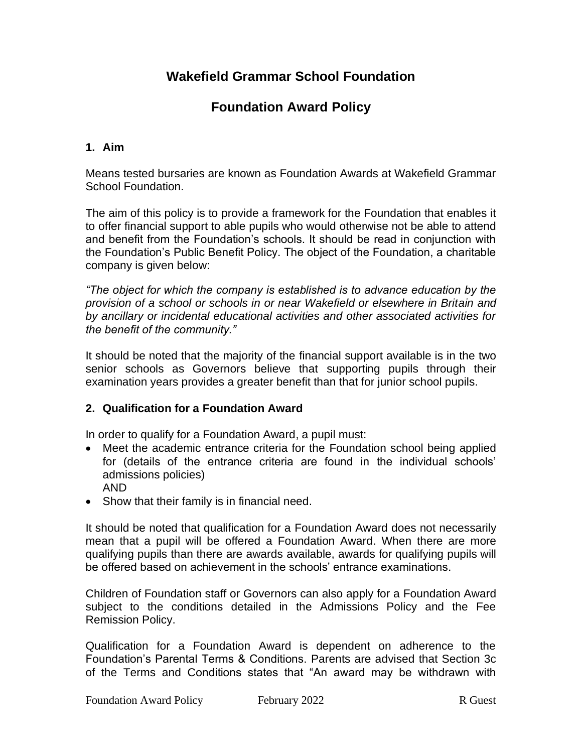# **Foundation Award Policy**

### **1. Aim**

Means tested bursaries are known as Foundation Awards at Wakefield Grammar School Foundation.

The aim of this policy is to provide a framework for the Foundation that enables it to offer financial support to able pupils who would otherwise not be able to attend and benefit from the Foundation's schools. It should be read in conjunction with the Foundation's Public Benefit Policy. The object of the Foundation, a charitable company is given below:

*"The object for which the company is established is to advance education by the provision of a school or schools in or near Wakefield or elsewhere in Britain and by ancillary or incidental educational activities and other associated activities for the benefit of the community."*

It should be noted that the majority of the financial support available is in the two senior schools as Governors believe that supporting pupils through their examination years provides a greater benefit than that for junior school pupils.

### **2. Qualification for a Foundation Award**

In order to qualify for a Foundation Award, a pupil must:

- Meet the academic entrance criteria for the Foundation school being applied for (details of the entrance criteria are found in the individual schools' admissions policies)
	- AND
- Show that their family is in financial need.

It should be noted that qualification for a Foundation Award does not necessarily mean that a pupil will be offered a Foundation Award. When there are more qualifying pupils than there are awards available, awards for qualifying pupils will be offered based on achievement in the schools' entrance examinations.

Children of Foundation staff or Governors can also apply for a Foundation Award subject to the conditions detailed in the Admissions Policy and the Fee Remission Policy.

Qualification for a Foundation Award is dependent on adherence to the Foundation's Parental Terms & Conditions. Parents are advised that Section 3c of the Terms and Conditions states that "An award may be withdrawn with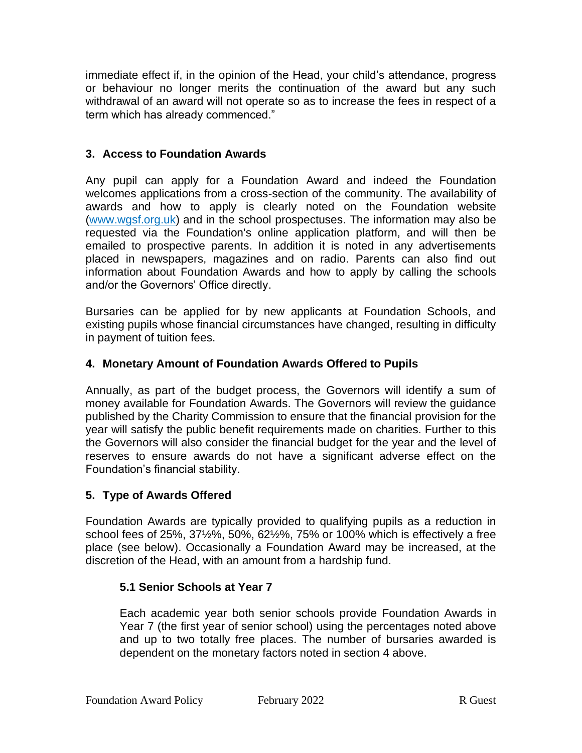immediate effect if, in the opinion of the Head, your child's attendance, progress or behaviour no longer merits the continuation of the award but any such withdrawal of an award will not operate so as to increase the fees in respect of a term which has already commenced."

### **3. Access to Foundation Awards**

Any pupil can apply for a Foundation Award and indeed the Foundation welcomes applications from a cross-section of the community. The availability of awards and how to apply is clearly noted on the Foundation website [\(www.wgsf.org.uk\)](http://www.wgsf.org.uk/) and in the school prospectuses. The information may also be requested via the Foundation's online application platform, and will then be emailed to prospective parents. In addition it is noted in any advertisements placed in newspapers, magazines and on radio. Parents can also find out information about Foundation Awards and how to apply by calling the schools and/or the Governors' Office directly.

Bursaries can be applied for by new applicants at Foundation Schools, and existing pupils whose financial circumstances have changed, resulting in difficulty in payment of tuition fees.

### **4. Monetary Amount of Foundation Awards Offered to Pupils**

Annually, as part of the budget process, the Governors will identify a sum of money available for Foundation Awards. The Governors will review the guidance published by the Charity Commission to ensure that the financial provision for the year will satisfy the public benefit requirements made on charities. Further to this the Governors will also consider the financial budget for the year and the level of reserves to ensure awards do not have a significant adverse effect on the Foundation's financial stability.

### **5. Type of Awards Offered**

Foundation Awards are typically provided to qualifying pupils as a reduction in school fees of 25%, 37½%, 50%, 62½%, 75% or 100% which is effectively a free place (see below). Occasionally a Foundation Award may be increased, at the discretion of the Head, with an amount from a hardship fund.

### **5.1 Senior Schools at Year 7**

Each academic year both senior schools provide Foundation Awards in Year 7 (the first year of senior school) using the percentages noted above and up to two totally free places. The number of bursaries awarded is dependent on the monetary factors noted in section 4 above.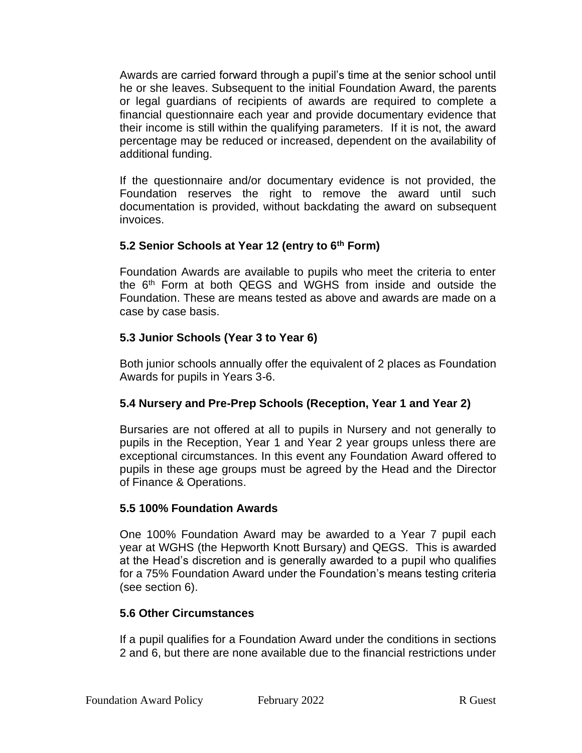Awards are carried forward through a pupil's time at the senior school until he or she leaves. Subsequent to the initial Foundation Award, the parents or legal guardians of recipients of awards are required to complete a financial questionnaire each year and provide documentary evidence that their income is still within the qualifying parameters. If it is not, the award percentage may be reduced or increased, dependent on the availability of additional funding.

If the questionnaire and/or documentary evidence is not provided, the Foundation reserves the right to remove the award until such documentation is provided, without backdating the award on subsequent invoices.

# **5.2 Senior Schools at Year 12 (entry to 6th Form)**

Foundation Awards are available to pupils who meet the criteria to enter the 6th Form at both QEGS and WGHS from inside and outside the Foundation. These are means tested as above and awards are made on a case by case basis.

### **5.3 Junior Schools (Year 3 to Year 6)**

Both junior schools annually offer the equivalent of 2 places as Foundation Awards for pupils in Years 3-6.

# **5.4 Nursery and Pre-Prep Schools (Reception, Year 1 and Year 2)**

Bursaries are not offered at all to pupils in Nursery and not generally to pupils in the Reception, Year 1 and Year 2 year groups unless there are exceptional circumstances. In this event any Foundation Award offered to pupils in these age groups must be agreed by the Head and the Director of Finance & Operations.

### **5.5 100% Foundation Awards**

One 100% Foundation Award may be awarded to a Year 7 pupil each year at WGHS (the Hepworth Knott Bursary) and QEGS. This is awarded at the Head's discretion and is generally awarded to a pupil who qualifies for a 75% Foundation Award under the Foundation's means testing criteria (see section 6).

### **5.6 Other Circumstances**

If a pupil qualifies for a Foundation Award under the conditions in sections 2 and 6, but there are none available due to the financial restrictions under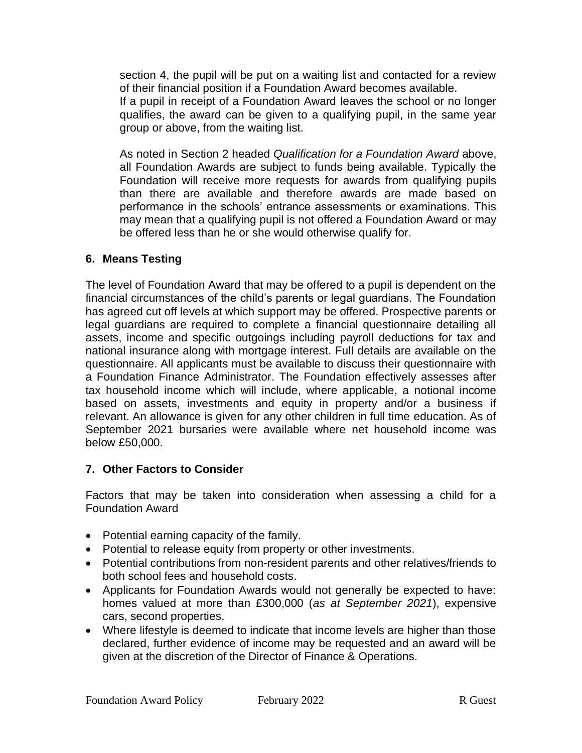section 4, the pupil will be put on a waiting list and contacted for a review of their financial position if a Foundation Award becomes available.

If a pupil in receipt of a Foundation Award leaves the school or no longer qualifies, the award can be given to a qualifying pupil, in the same year group or above, from the waiting list.

As noted in Section 2 headed *Qualification for a Foundation Award* above, all Foundation Awards are subject to funds being available. Typically the Foundation will receive more requests for awards from qualifying pupils than there are available and therefore awards are made based on performance in the schools' entrance assessments or examinations. This may mean that a qualifying pupil is not offered a Foundation Award or may be offered less than he or she would otherwise qualify for.

#### **6. Means Testing**

The level of Foundation Award that may be offered to a pupil is dependent on the financial circumstances of the child's parents or legal guardians. The Foundation has agreed cut off levels at which support may be offered. Prospective parents or legal guardians are required to complete a financial questionnaire detailing all assets, income and specific outgoings including payroll deductions for tax and national insurance along with mortgage interest. Full details are available on the questionnaire. All applicants must be available to discuss their questionnaire with a Foundation Finance Administrator. The Foundation effectively assesses after tax household income which will include, where applicable, a notional income based on assets, investments and equity in property and/or a business if relevant. An allowance is given for any other children in full time education. As of September 2021 bursaries were available where net household income was below £50,000.

### **7. Other Factors to Consider**

Factors that may be taken into consideration when assessing a child for a Foundation Award

- Potential earning capacity of the family.
- Potential to release equity from property or other investments.
- Potential contributions from non-resident parents and other relatives/friends to both school fees and household costs.
- Applicants for Foundation Awards would not generally be expected to have: homes valued at more than £300,000 (*as at September 2021*), expensive cars, second properties.
- Where lifestyle is deemed to indicate that income levels are higher than those declared, further evidence of income may be requested and an award will be given at the discretion of the Director of Finance & Operations.